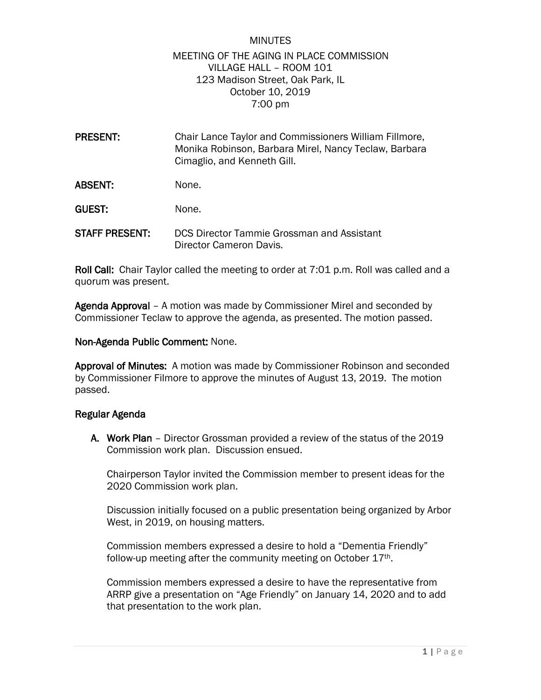## MINUTES MEETING OF THE AGING IN PLACE COMMISSION VILLAGE HALL – ROOM 101 123 Madison Street, Oak Park, IL October 10, 2019 7:00 pm

PRESENT: Chair Lance Taylor and Commissioners William Fillmore, Monika Robinson, Barbara Mirel, Nancy Teclaw, Barbara Cimaglio, and Kenneth Gill. ABSENT: None.

GUEST: None.

STAFF PRESENT: DCS Director Tammie Grossman and Assistant Director Cameron Davis.

Roll Call: Chair Taylor called the meeting to order at 7:01 p.m. Roll was called and a quorum was present.

Agenda Approval – A motion was made by Commissioner Mirel and seconded by Commissioner Teclaw to approve the agenda, as presented. The motion passed.

Non-Agenda Public Comment: None.

Approval of Minutes: A motion was made by Commissioner Robinson and seconded by Commissioner Filmore to approve the minutes of August 13, 2019. The motion passed.

## Regular Agenda

A. Work Plan – Director Grossman provided a review of the status of the 2019 Commission work plan. Discussion ensued.

Chairperson Taylor invited the Commission member to present ideas for the 2020 Commission work plan.

Discussion initially focused on a public presentation being organized by Arbor West, in 2019, on housing matters.

Commission members expressed a desire to hold a "Dementia Friendly" follow-up meeting after the community meeting on October 17th.

Commission members expressed a desire to have the representative from ARRP give a presentation on "Age Friendly" on January 14, 2020 and to add that presentation to the work plan.